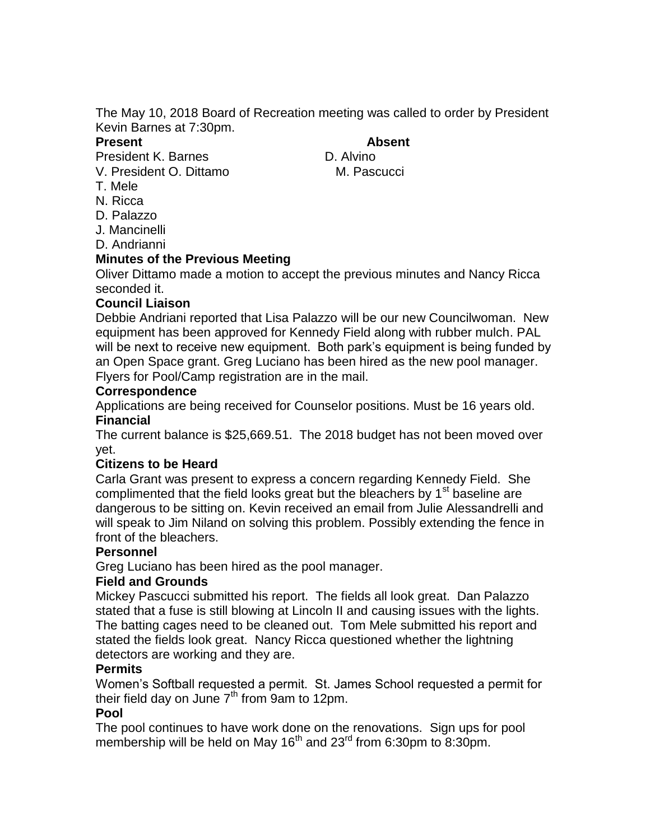The May 10, 2018 Board of Recreation meeting was called to order by President Kevin Barnes at 7:30pm.

**Present Absent**

President K. Barnes D. Alvino

V. President O. Dittamo M. Pascucci

- T. Mele
- N. Ricca
- D. Palazzo

J. Mancinelli

D. Andrianni

## **Minutes of the Previous Meeting**

Oliver Dittamo made a motion to accept the previous minutes and Nancy Ricca seconded it.

# **Council Liaison**

Debbie Andriani reported that Lisa Palazzo will be our new Councilwoman. New equipment has been approved for Kennedy Field along with rubber mulch. PAL will be next to receive new equipment. Both park's equipment is being funded by an Open Space grant. Greg Luciano has been hired as the new pool manager. Flyers for Pool/Camp registration are in the mail.

## **Correspondence**

Applications are being received for Counselor positions. Must be 16 years old. **Financial**

The current balance is \$25,669.51. The 2018 budget has not been moved over yet.

# **Citizens to be Heard**

Carla Grant was present to express a concern regarding Kennedy Field. She complimented that the field looks great but the bleachers by  $1<sup>st</sup>$  baseline are dangerous to be sitting on. Kevin received an email from Julie Alessandrelli and will speak to Jim Niland on solving this problem. Possibly extending the fence in front of the bleachers.

#### **Personnel**

Greg Luciano has been hired as the pool manager.

# **Field and Grounds**

Mickey Pascucci submitted his report. The fields all look great. Dan Palazzo stated that a fuse is still blowing at Lincoln II and causing issues with the lights. The batting cages need to be cleaned out. Tom Mele submitted his report and stated the fields look great. Nancy Ricca questioned whether the lightning detectors are working and they are.

#### **Permits**

Women's Softball requested a permit. St. James School requested a permit for their field day on June  $7<sup>th</sup>$  from 9am to 12pm.

# **Pool**

The pool continues to have work done on the renovations. Sign ups for pool membership will be held on May 16<sup>th</sup> and 23<sup>rd</sup> from 6:30pm to 8:30pm.